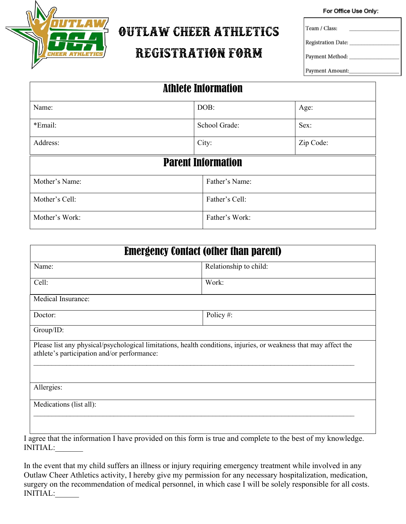

# **OUTLAW CHEER ATHLETICS**

## **REGISTRATION FORM**

For Office Use Only:

Team / Class:

Registration Date:

Payment Method:

Payment Amount:

| <b>Athlete Information</b> |                           |           |  |  |
|----------------------------|---------------------------|-----------|--|--|
| Name:                      | DOB:                      | Age:      |  |  |
| *Email:                    | School Grade:             | Sex:      |  |  |
| Address:                   | City:                     | Zip Code: |  |  |
|                            | <b>Parent Information</b> |           |  |  |
| Mother's Name:             | Father's Name:            |           |  |  |
| Mother's Cell:             | Father's Cell:            |           |  |  |
| Mother's Work:             | Father's Work:            |           |  |  |

| <b>Emergency Contact (other than parent)</b>                                                                                                                    |                                                                                                        |  |  |  |
|-----------------------------------------------------------------------------------------------------------------------------------------------------------------|--------------------------------------------------------------------------------------------------------|--|--|--|
| Name:                                                                                                                                                           | Relationship to child:                                                                                 |  |  |  |
| Cell:                                                                                                                                                           | Work:                                                                                                  |  |  |  |
| Medical Insurance:                                                                                                                                              |                                                                                                        |  |  |  |
| Doctor:                                                                                                                                                         | Policy#:                                                                                               |  |  |  |
| Group/ID:                                                                                                                                                       |                                                                                                        |  |  |  |
| Please list any physical/psychological limitations, health conditions, injuries, or weakness that may affect the<br>athlete's participation and/or performance: |                                                                                                        |  |  |  |
| Allergies:                                                                                                                                                      |                                                                                                        |  |  |  |
| Medications (list all):<br>$\mathbf{r}$ and $\mathbf{r}$ and $\mathbf{r}$ and $\mathbf{r}$<br>$\mathbf{a}$ and $\mathbf{a}$ and $\mathbf{a}$                    | $\mathbf{1}$ . $\mathbf{1}$ . $\mathbf{1}$ . $\mathbf{1}$ . $\mathbf{1}$ . $\mathbf{1}$ . $\mathbf{1}$ |  |  |  |

I agree that the information I have provided on this form is true and complete to the best of my knowledge. INITIAL:\_\_\_\_\_\_\_

In the event that my child suffers an illness or injury requiring emergency treatment while involved in any Outlaw Cheer Athletics activity, I hereby give my permission for any necessary hospitalization, medication, surgery on the recommendation of medical personnel, in which case I will be solely responsible for all costs. INITIAL:\_\_\_\_\_\_